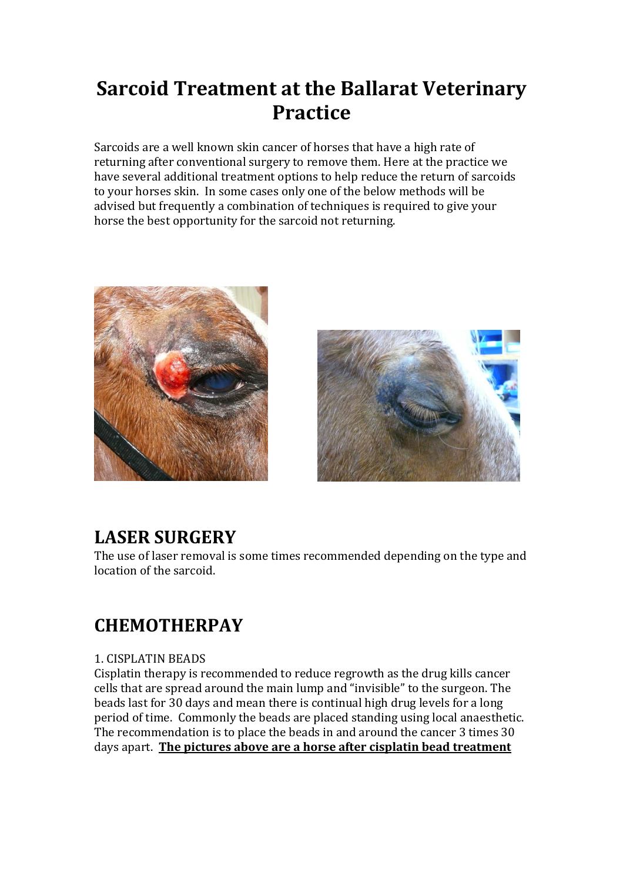# **Sarcoid Treatment at the Ballarat Veterinary Practice**

Sarcoids are a well known skin cancer of horses that have a high rate of returning after conventional surgery to remove them. Here at the practice we have several additional treatment options to help reduce the return of sarcoids to your horses skin. In some cases only one of the below methods will be advised but frequently a combination of techniques is required to give your horse the best opportunity for the sarcoid not returning.





### **LASER SURGERY**

The use of laser removal is some times recommended depending on the type and location of the sarcoid.

# **CHEMOTHERPAY**

#### 1. CISPLATIN BEADS

Cisplatin therapy is recommended to reduce regrowth as the drug kills cancer cells that are spread around the main lump and "invisible" to the surgeon. The beads last for 30 days and mean there is continual high drug levels for a long period of time. Commonly the beads are placed standing using local anaesthetic. The recommendation is to place the beads in and around the cancer 3 times 30 days apart. **The pictures above are a horse after cisplatin bead treatment**